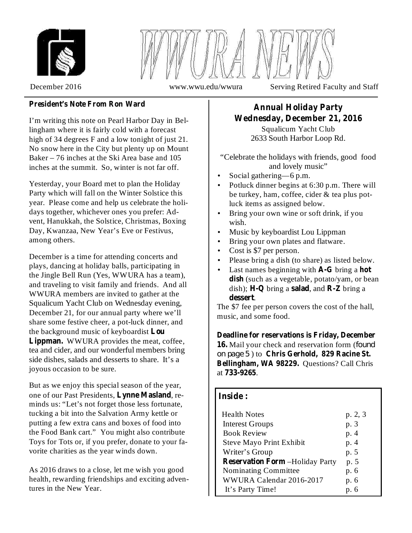



December 2016 www.wwu.edu/wwura Serving Retired Faculty and Staff

### **President's Note From Ron Ward**

I'm writing this note on Pearl Harbor Day in Bellingham where it is fairly cold with a forecast high of 34 degrees F and a low tonight of just 21. No snow here in the City but plenty up on Mount Baker – 76 inches at the Ski Area base and 105 inches at the summit. So, winter is not far off.

Yesterday, your Board met to plan the Holiday Party which will fall on the Winter Solstice this year. Please come and help us celebrate the holidays together, whichever ones you prefer: Advent, Hanukkah, the Solstice, Christmas, Boxing Day, Kwanzaa, New Year's Eve or Festivus, among others.

December is a time for attending concerts and plays, dancing at holiday balls, participating in the Jingle Bell Run (Yes, WWURA has a team), and traveling to visit family and friends. And all WWURA members are invited to gather at the Squalicum Yacht Club on Wednesday evening, December 21, for our annual party where we'll share some festive cheer, a pot-luck dinner, and the background music of keyboardist **Lou** Lippman. WWURA provides the meat, coffee, tea and cider, and our wonderful members bring side dishes, salads and desserts to share. It's a joyous occasion to be sure.

But as we enjoy this special season of the year, one of our Past Presidents, Lynne Masland, reminds us: "Let's not forget those less fortunate, tucking a bit into the Salvation Army kettle or putting a few extra cans and boxes of food into the Food Bank cart." You might also contribute Toys for Tots or, if you prefer, donate to your favorite charities as the year winds down.

As 2016 draws to a close, let me wish you good health, rewarding friendships and exciting adventures in the New Year.

## **Annual Holiday Party Wednesday, December 21, 2016**

Squalicum Yacht Club 2633 South Harbor Loop Rd.

"Celebrate the holidays with friends, good food and lovely music"

- Social gathering—6 p.m. •
- Potluck dinner begins at 6:30 p.m. There will be turkey, ham, coffee, cider & tea plus potluck items as assigned below. •
- Bring your own wine or soft drink, if you wish. •
- Music by keyboardist Lou Lippman •
- Bring your own plates and flatware. •
- Cost is \$7 per person. •
- Please bring a dish (to share) as listed below. •
- Last names beginning with **A-G** bring a hot dish (such as a vegetable, potato/yam, or bean  $\delta$  dish); **H-Q**  $\delta$  bring a **salad**, and **R-Z**  $\delta$  bring a . **dessert** •

The \$7 fee per person covers the cost of the hall, music, and some food.

16. Mail your check and reservation form (found ) to **Chris Gerhold, 829 Racine St.** *on page 5*Bellingham, WA 98229. Questions? Call Chris at 733-9265. **Deadline for reservations is Friday, December**

### **Inside :**

| <b>Health Notes</b>                    | p. 2, 3 |
|----------------------------------------|---------|
| <b>Interest Groups</b>                 | p. 3    |
| <b>Book Review</b>                     | p. 4    |
| <b>Steve Mayo Print Exhibit</b>        | p. 4    |
| Writer's Group                         | p. 5    |
| <b>Reservation Form -Holiday Party</b> | p. 5    |
| Nominating Committee                   | p. 6    |
| WWURA Calendar 2016-2017               | p. 6    |
| It's Party Time!                       |         |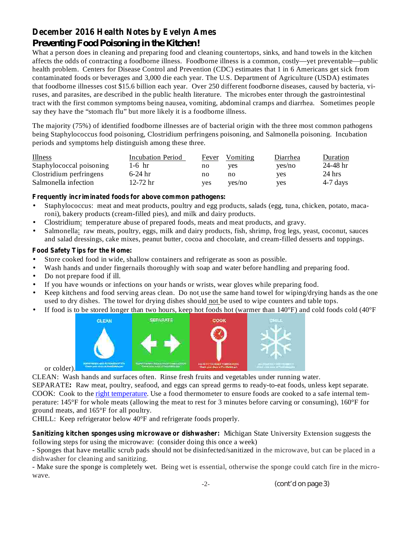## **December 2016 Health Notes by Evelyn Ames**

## *Preventing Food Poisoning in the Kitchen!*

What a person does in cleaning and preparing food and cleaning countertops, sinks, and hand towels in the kitchen affects the odds of contracting a foodborne illness. Foodborne illness is a common, costly—yet preventable—public health problem. Centers for Disease Control and Prevention (CDC) estimates that 1 in 6 Americans get sick from contaminated foods or beverages and 3,000 die each year. The U.S. Department of Agriculture (USDA) estimates that foodborne illnesses cost \$15.6 billion each year. Over 250 different foodborne diseases, caused by bacteria, viruses, and parasites, are described in the public health literature. The microbes enter through the gastrointestinal tract with the first common symptoms being nausea, vomiting, abdominal cramps and diarrhea. Sometimes people say they have the "stomach flu" but more likely it is a foodborne illness.

The majority (75%) of identified foodborne illnesses are of bacterial origin with the three most common pathogens being Staphylococcus food poisoning, Clostridium perfringens poisoning, and Salmonella poisoning. Incubation periods and symptoms help distinguish among these three.

| <b>Illness</b>           | Incubation Period | Fever      | Vomiting | Diarrhea | Duration     |
|--------------------------|-------------------|------------|----------|----------|--------------|
| Staphylococcal poisoning | 1-6 hr            | no         | ves      | ves/no   | $24 - 48$ hr |
| Clostridium perfringens  | $6-24$ hr         | no         | no       | yes      | $24$ hrs     |
| Salmonella infection     | 12-72 hr          | <b>ves</b> | ves/no   | ves      | 4-7 days     |

#### **Frequently incriminated foods for above common pathogens:**

- Staphylococcus: meat and meat products, poultry and egg products, salads (egg, tuna, chicken, potato, macaroni), bakery products (cream-filled pies), and milk and dairy products. •
- Clostridium: temperature abuse of prepared foods, meats and meat products, and gravy. •
- Salmonella: raw meats, poultry, eggs, milk and dairy products, fish, shrimp, frog legs, yeast, coconut, sauces and salad dressings, cake mixes, peanut butter, cocoa and chocolate, and cream-filled desserts and toppings. •

#### **Food Safety Tips for the Home:**

- Store cooked food in wide, shallow containers and refrigerate as soon as possible. •
- Wash hands and under fingernails thoroughly with soap and water before handling and preparing food. •
- Do not prepare food if ill. •
- If you have wounds or infections on your hands or wrists, wear gloves while preparing food. •
- Keep kitchens and food serving areas clean. Do not use the same hand towel for wiping/drying hands as the one used to dry dishes. The towel for drying dishes should not be used to wipe counters and table tops. •
- If food is to be stored longer than two hours, keep hot foods hot (warmer than 140°F) and cold foods cold (40°F •



or colder).

CLEAN: Wash hands and surfaces often. Rinse fresh fruits and vegetables under running water.

SEPARATE: Raw meat, poultry, seafood, and eggs can spread germs to ready-to-eat foods, unless kept separate. COOK: Cook to the right temperature. Use a food thermometer to ensure foods are cooked to a safe internal temperature: 145°F for whole meats (allowing the meat to rest for 3 minutes before carving or consuming), 160°F for ground meats, and 165°F for all poultry.

CHILL: Keep refrigerator below 40°F and refrigerate foods properly.

**Sanitizing kitchen sponges using microwave or dishwasher:** Michigan State University Extension suggests the following steps for using the microwave: (consider doing this once a week)

- Sponges that have metallic scrub pads should not be disinfected/sanitized in the microwave, but can be placed in a dishwasher for cleaning and sanitizing.

- Make sure the sponge is completely wet. Being wet is essential, otherwise the sponge could catch fire in the microwave.

*(cont'd on page 3)*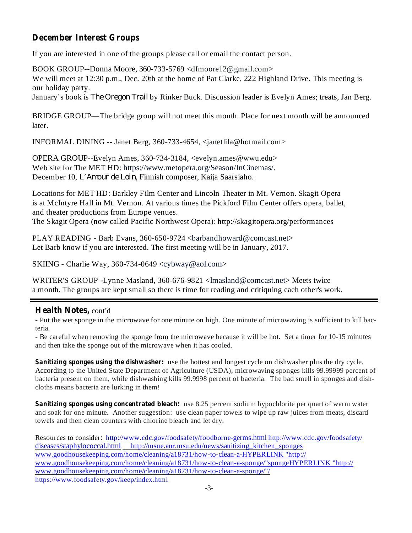## **December Interest Groups**

If you are interested in one of the groups please call or email the contact person.

BOOK GROUP--Donna Moore, 360-733-5769 <dfmoore12@gmail.com> We will meet at 12:30 p.m., Dec. 20th at the home of Pat Clarke, 222 Highland Drive. This meeting is our holiday party.

January's book is *The Oregon Trail* by Rinker Buck. Discussion leader is Evelyn Ames; treats, Jan Berg.

BRIDGE GROUP—The bridge group will not meet this month. Place for next month will be announced later.

INFORMAL DINING -- Janet Berg, 360-733-4654, <janetlila@hotmail.com>

OPERA GROUP--Evelyn Ames, 360-734-3184, <evelyn.ames@wwu.edu> Web site for The MET HD: https://www.metopera.org/Season/InCinemas/. December 10, L'Amour de Loin, Finnish composer, Kaija Saarsiaho.

Locations for MET HD: Barkley Film Center and Lincoln Theater in Mt. Vernon. Skagit Opera is at McIntyre Hall in Mt. Vernon. At various times the Pickford Film Center offers opera, ballet, and theater productions from Europe venues.

The Skagit Opera (now called Pacific Northwest Opera): http://skagitopera.org/performances

PLAY READING - Barb Evans, 360-650-9724 <br/>cbarbandhoward@comcast.net> Let Barb know if you are interested. The first meeting will be in January, 2017.

SKIING - Charlie Way, 360-734-0649  $\langle$ cybway@aol.com>

WRITER'S GROUP -Lynne Masland, 360-676-9821 <lmasland@comcast.net>Meets twice a month. The groups are kept small so there is time for reading and critiquing each other's work.

### **Health Notes,** cont'd

- Put the wet sponge in the microwave for one minute on high. One minute of microwaving is sufficient to kill bacteria.

- Be careful when removing the sponge from the microwave because it will be hot. Set a timer for 10-15 minutes and then take the sponge out of the microwave when it has cooled.

**Sanitizing sponges using the dishwasher:** use the hottest and longest cycle on dishwasher plus the dry cycle. According to the United State Department of Agriculture (USDA), microwaving sponges kills 99.99999 percent of bacteria present on them, while dishwashing kills 99.9998 percent of bacteria. The bad smell in sponges and dishcloths means bacteria are lurking in them!

**Sanitizing sponges using concentrated bleach:** use 8.25 percent sodium hypochlorite per quart of warm water and soak for one minute. Another suggestion: use clean paper towels to wipe up raw juices from meats, discard towels and then clean counters with chlorine bleach and let dry.

Resources to consider: http://www.cdc.gov/foodsafety/foodborne-germs.html http://www.cdc.gov/foodsafety/ diseases/staphylococcal.html http://msue.anr.msu.edu/news/sanitizing\_kitchen\_sponges www.goodhousekeeping.com/home/cleaning/a18731/how-to-clean-a-HYPERLINK "http:// www.goodhousekeeping.com/home/cleaning/a18731/how-to-clean-a-sponge/"spongeHYPERLINK "http:// www.goodhousekeeping.com/home/cleaning/a18731/how-to-clean-a-sponge/"/ https://www.foodsafety.gov/keep/index.html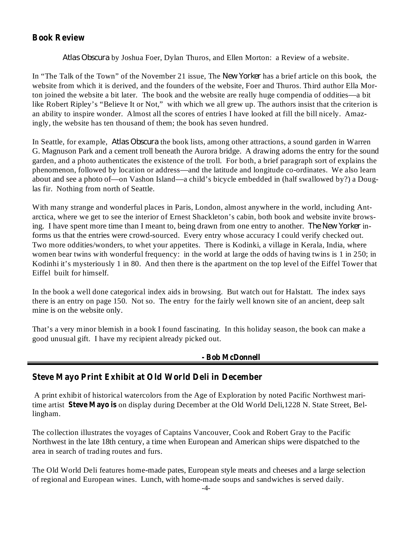## **Book Review**

*Atlas Obscura* by Joshua Foer, Dylan Thuros, and Ellen Morton: a Review of a website.

In "The Talk of the Town" of the November 21 issue, The New Yorker has a brief article on this book, the website from which it is derived, and the founders of the website, Foer and Thuros. Third author Ella Morton joined the website a bit later. The book and the website are really huge compendia of oddities—a bit like Robert Ripley's "Believe It or Not," with which we all grew up. The authors insist that the criterion is an ability to inspire wonder. Almost all the scores of entries I have looked at fill the bill nicely. Amazingly, the website has ten thousand of them; the book has seven hundred.

In Seattle, for example, *Atlas Obscura* the book lists, among other attractions, a sound garden in Warren G. Magnuson Park and a cement troll beneath the Aurora bridge. A drawing adorns the entry for the sound garden, and a photo authenticates the existence of the troll. For both, a brief paragraph sort of explains the phenomenon, followed by location or address—and the latitude and longitude co-ordinates. We also learn about and see a photo of—on Vashon Island—a child's bicycle embedded in (half swallowed by?) a Douglas fir. Nothing from north of Seattle.

ing. I have spent more time than I meant to, being drawn from one entry to another. *The New Yorker* in-With many strange and wonderful places in Paris, London, almost anywhere in the world, including Antarctica, where we get to see the interior of Ernest Shackleton's cabin, both book and website invite browsforms us that the entries were crowd-sourced. Every entry whose accuracy I could verify checked out. Two more oddities/wonders, to whet your appetites. There is Kodinki, a village in Kerala, India, where women bear twins with wonderful frequency: in the world at large the odds of having twins is 1 in 250; in Kodinhi it's mysteriously 1 in 80. And then there is the apartment on the top level of the Eiffel Tower that Eiffel built for himself.

In the book a well done categorical index aids in browsing. But watch out for Halstatt. The index says there is an entry on page 150. Not so. The entry for the fairly well known site of an ancient, deep salt mine is on the website only.

That's a very minor blemish in a book I found fascinating. In this holiday season, the book can make a good unusual gift. I have my recipient already picked out.

#### **- Bob McDonnell**

#### **Steve Mayo Print Exhibit at Old World Deli in December**

time artist Steve Mayo is on display during December at the Old World Deli,1228 N. State Street, Bel-A print exhibit of historical watercolors from the Age of Exploration by noted Pacific Northwest marilingham.

The collection illustrates the voyages of Captains Vancouver, Cook and Robert Gray to the Pacific Northwest in the late 18th century, a time when European and American ships were dispatched to the area in search of trading routes and furs.

The Old World Deli features home-made pates, European style meats and cheeses and a large selection of regional and European wines. Lunch, with home-made soups and sandwiches is served daily.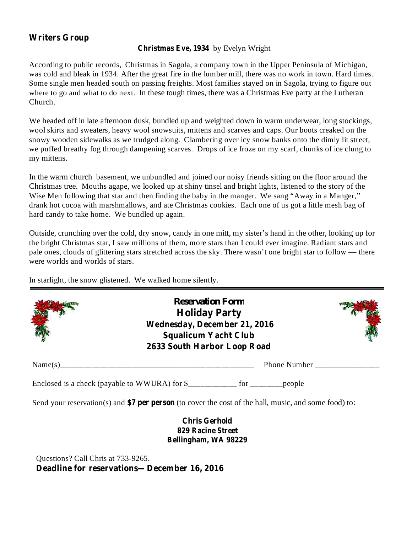## **Writers Group**

#### **Christmas Eve, 1934** by Evelyn Wright

According to public records, Christmas in Sagola, a company town in the Upper Peninsula of Michigan, was cold and bleak in 1934. After the great fire in the lumber mill, there was no work in town. Hard times. Some single men headed south on passing freights. Most families stayed on in Sagola, trying to figure out where to go and what to do next. In these tough times, there was a Christmas Eve party at the Lutheran Church.

We headed off in late afternoon dusk, bundled up and weighted down in warm underwear, long stockings, wool skirts and sweaters, heavy wool snowsuits, mittens and scarves and caps. Our boots creaked on the snowy wooden sidewalks as we trudged along. Clambering over icy snow banks onto the dimly lit street, we puffed breathy fog through dampening scarves. Drops of ice froze on my scarf, chunks of ice clung to my mittens.

In the warm church basement, we unbundled and joined our noisy friends sitting on the floor around the Christmas tree. Mouths agape, we looked up at shiny tinsel and bright lights, listened to the story of the Wise Men following that star and then finding the baby in the manger. We sang "Away in a Manger," drank hot cocoa with marshmallows, and ate Christmas cookies. Each one of us got a little mesh bag of hard candy to take home. We bundled up again.

Outside, crunching over the cold, dry snow, candy in one mitt, my sister's hand in the other, looking up for the bright Christmas star, I saw millions of them, more stars than I could ever imagine. Radiant stars and pale ones, clouds of glittering stars stretched across the sky. There wasn't one bright star to follow — there were worlds and worlds of stars.

In starlight, the snow glistened. We walked home silently.

| <b>Reservation Form</b><br><b>Holiday Party</b><br>Wednesday, December 21, 2016<br><b>Squalicum Yacht Club</b><br>2633 South Harbor Loop Road |              |
|-----------------------------------------------------------------------------------------------------------------------------------------------|--------------|
|                                                                                                                                               | Phone Number |
| Enclosed is a check (payable to WWURA) for \$___________ for ________ people                                                                  |              |
| Send your reservation(s) and \$7 per person (to cover the cost of the hall, music, and some food) to:                                         |              |
| <b>Chris Gerhold</b><br><b>829 Racine Street</b><br>Bellingham, WA 98229                                                                      |              |

**Deadline for reservations—December 16, 2016** Questions? Call Chris at 733-9265.